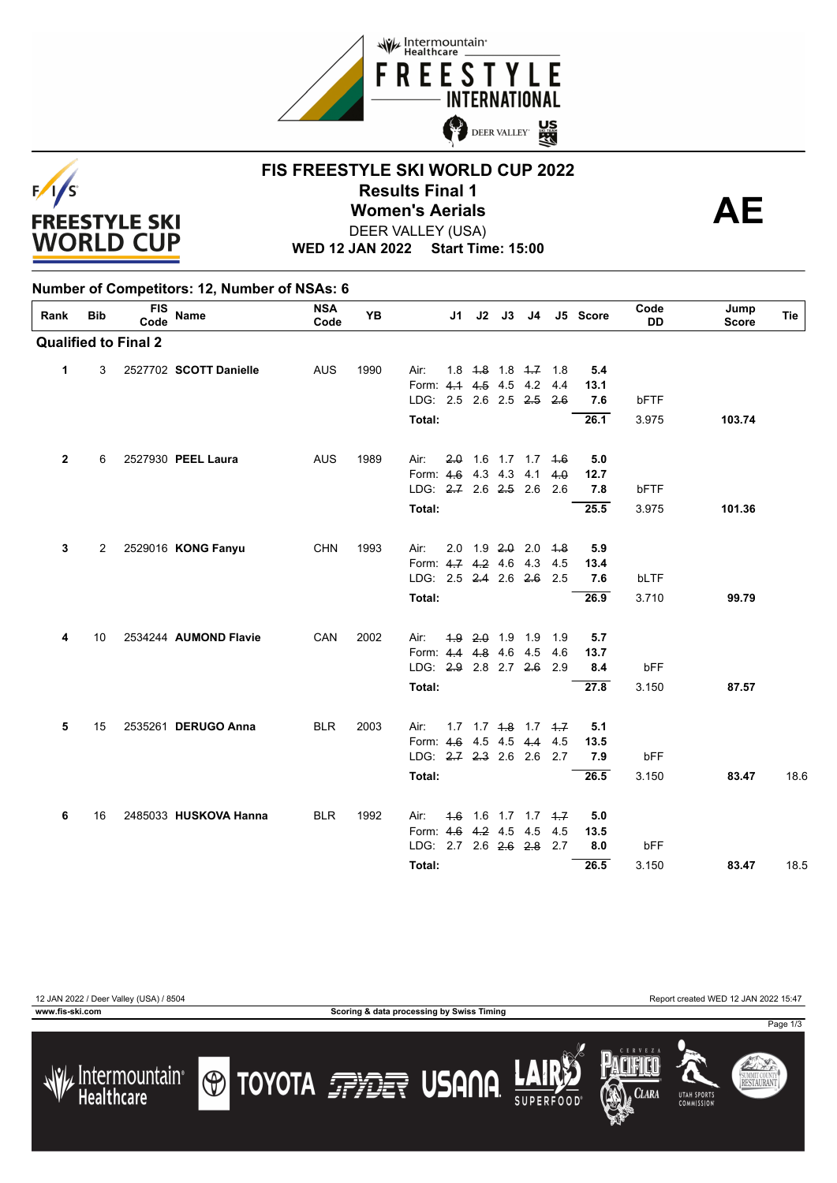



# **FIS FREESTYLE SKI WORLD CUP 2022 Results Final 1<br>Women's Aerials <br>DEEP VALLEY (LSA)** DEER VALLEY (USA)

**WED 12 JAN 2022 Start Time: 15:00**

### **Number of Competitors: 12, Number of NSAs: 6**

| Rank         | <b>Bib</b> | <b>FIS</b><br>Code          | <b>Name</b>            | NSA<br>Code | <b>YB</b> |                               | J1 | J2              | J3 | J4                            |            | J5 Score    | Code<br><b>DD</b> | Jump<br><b>Score</b> | Tie  |
|--------------|------------|-----------------------------|------------------------|-------------|-----------|-------------------------------|----|-----------------|----|-------------------------------|------------|-------------|-------------------|----------------------|------|
|              |            | <b>Qualified to Final 2</b> |                        |             |           |                               |    |                 |    |                               |            |             |                   |                      |      |
| $\mathbf{1}$ | 3          |                             | 2527702 SCOTT Danielle | <b>AUS</b>  | 1990      | Air:                          |    |                 |    | $1.8$ $1.8$ $1.8$ $1.7$ $1.8$ |            | 5.4         |                   |                      |      |
|              |            |                             |                        |             |           | Form: 4.1 4.5 4.5 4.2         |    |                 |    |                               | 4.4        | 13.1        |                   |                      |      |
|              |            |                             |                        |             |           | LDG: 2.5 2.6 2.5 2.5          |    |                 |    |                               | 2.6        | 7.6         | bFTF              |                      |      |
|              |            |                             |                        |             |           | Total:                        |    |                 |    |                               |            | 26.1        | 3.975             | 103.74               |      |
| $\mathbf{2}$ | 6          |                             | 2527930 PEEL Laura     | <b>AUS</b>  | 1989      | Air:                          |    |                 |    | $2.0$ 1.6 1.7 1.7 4.6         |            | 5.0         |                   |                      |      |
|              |            |                             |                        |             |           | Form: 4.6 4.3 4.3 4.1         |    |                 |    |                               | 4.0        | 12.7        |                   |                      |      |
|              |            |                             |                        |             |           | LDG: $2.7$ 2.6 $2.5$ 2.6      |    |                 |    |                               | 2.6        | 7.8         | bFTF              |                      |      |
|              |            |                             |                        |             |           | Total:                        |    |                 |    |                               |            | 25.5        | 3.975             | 101.36               |      |
|              |            |                             |                        |             |           |                               |    |                 |    |                               |            |             |                   |                      |      |
| 3            | 2          |                             | 2529016 KONG Fanyu     | <b>CHN</b>  | 1993      | Air:<br>Form: 4.7 4.2 4.6 4.3 |    |                 |    | $2.0$ 1.9 $2.0$ 2.0           | 4.8<br>4.5 | 5.9<br>13.4 |                   |                      |      |
|              |            |                             |                        |             |           | LDG: 2.5 2.4 2.6 2.6 2.5      |    |                 |    |                               |            | 7.6         | bLTF              |                      |      |
|              |            |                             |                        |             |           |                               |    |                 |    |                               |            |             |                   |                      |      |
|              |            |                             |                        |             |           | Total:                        |    |                 |    |                               |            | 26.9        | 3.710             | 99.79                |      |
| 4            | 10         |                             | 2534244 AUMOND Flavie  | CAN         | 2002      | Air:                          |    | 4.9 2.0 1.9 1.9 |    |                               | 1.9        | 5.7         |                   |                      |      |
|              |            |                             |                        |             |           | Form: 4.4 4.8 4.6 4.5         |    |                 |    |                               | 4.6        | 13.7        |                   |                      |      |
|              |            |                             |                        |             |           | LDG: 2.9 2.8 2.7 2.6 2.9      |    |                 |    |                               |            | 8.4         | bFF               |                      |      |
|              |            |                             |                        |             |           | Total:                        |    |                 |    |                               |            | 27.8        | 3.150             | 87.57                |      |
| 5            | 15         |                             | 2535261 DERUGO Anna    | <b>BLR</b>  | 2003      | Air:                          |    |                 |    | $1.7$ $1.7$ $1.8$ $1.7$ $1.7$ |            | 5.1         |                   |                      |      |
|              |            |                             |                        |             |           | Form: 4.6 4.5 4.5 4.4 4.5     |    |                 |    |                               |            | 13.5        |                   |                      |      |
|              |            |                             |                        |             |           | LDG: 2.7 2.3 2.6 2.6 2.7      |    |                 |    |                               |            | 7.9         | bFF               |                      |      |
|              |            |                             |                        |             |           | Total:                        |    |                 |    |                               |            | 26.5        | 3.150             | 83.47                | 18.6 |
| 6            | 16         |                             | 2485033 HUSKOVA Hanna  | <b>BLR</b>  | 1992      | Air:                          |    |                 |    | $1.6$ 1.6 1.7 1.7 1.7         |            | 5.0         |                   |                      |      |
|              |            |                             |                        |             |           | Form: 4.6 4.2 4.5 4.5         |    |                 |    |                               | 4.5        | 13.5        |                   |                      |      |
|              |            |                             |                        |             |           | LDG: 2.7 2.6 2.6 2.8 2.7      |    |                 |    |                               |            | 8.0         | bFF               |                      |      |
|              |            |                             |                        |             |           | Total:                        |    |                 |    |                               |            | 26.5        | 3.150             | 83.47                | 18.5 |
|              |            |                             |                        |             |           |                               |    |                 |    |                               |            |             |                   |                      |      |







SUMMIT COUNT<br>**RESTAURAN**T **UTAH SPORT** 

Page 1/3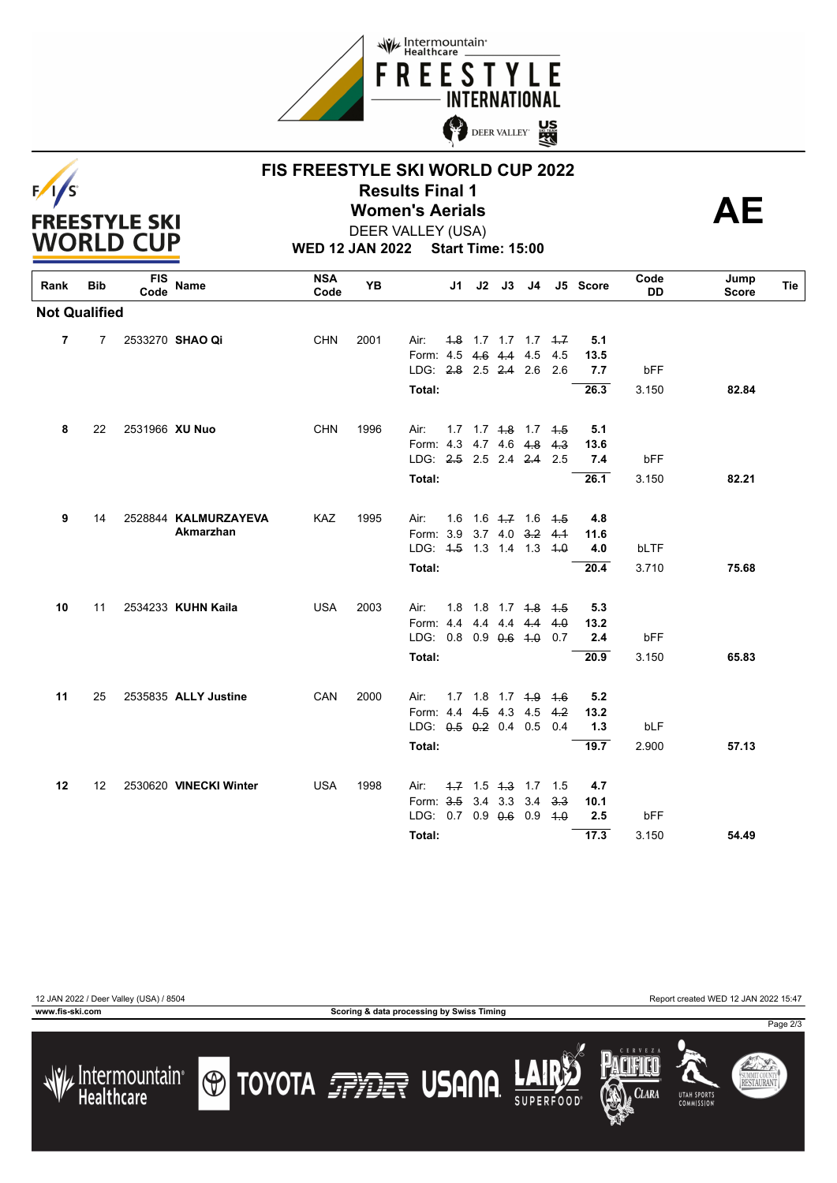



# **FIS FREESTYLE SKI WORLD CUP 2022 Results Final 1<br>Women's Aerials <br>DEEP VALLEY (LSA)** DEER VALLEY (USA)

**WED 12 JAN 2022 Start Time: 15:00**

| Rank                 | <b>Bib</b>     | <b>FIS</b><br>Code | Name                   | <b>NSA</b><br>Code | <b>YB</b> |                           | J1 | J2 | J3          | J4                             |     | J5 Score | Code<br>DD | Jump<br>Score | Tie |
|----------------------|----------------|--------------------|------------------------|--------------------|-----------|---------------------------|----|----|-------------|--------------------------------|-----|----------|------------|---------------|-----|
| <b>Not Qualified</b> |                |                    |                        |                    |           |                           |    |    |             |                                |     |          |            |               |     |
| 7                    | $\overline{7}$ |                    | 2533270 SHAO Qi        | <b>CHN</b>         | 2001      | Air:                      |    |    |             | $4.8$ 1.7 1.7 1.7 $4.7$        |     | 5.1      |            |               |     |
|                      |                |                    |                        |                    |           | Form: 4.5                 |    |    | 4.6 4.4 4.5 |                                | 4.5 | 13.5     |            |               |     |
|                      |                |                    |                        |                    |           | LDG: 2.8 2.5 2.4 2.6      |    |    |             |                                | 2.6 | 7.7      | bFF        |               |     |
|                      |                |                    |                        |                    |           | Total:                    |    |    |             |                                |     | 26.3     | 3.150      | 82.84         |     |
| 8                    | 22             | 2531966 XU Nuo     |                        | <b>CHN</b>         | 1996      | Air:                      |    |    |             | $1.7$ $1.7$ $4.8$ $1.7$ $4.5$  |     | 5.1      |            |               |     |
|                      |                |                    |                        |                    |           | Form: 4.3 4.7 4.6 4.8     |    |    |             |                                | 4.3 | 13.6     |            |               |     |
|                      |                |                    |                        |                    |           | LDG: 2.5 2.5 2.4 2.4      |    |    |             |                                | 2.5 | 7.4      | bFF        |               |     |
|                      |                |                    |                        |                    |           | Total:                    |    |    |             |                                |     | 26.1     | 3.150      | 82.21         |     |
|                      |                |                    |                        |                    |           |                           |    |    |             |                                |     |          |            |               |     |
| 9                    | 14             |                    | 2528844 KALMURZAYEVA   | <b>KAZ</b>         | 1995      | Air:                      |    |    |             | $1.6$ $1.6$ $4.7$ $1.6$ $4.5$  |     | 4.8      |            |               |     |
|                      |                |                    | Akmarzhan              |                    |           | Form: 3.9 3.7 4.0 3.2 4.1 |    |    |             |                                |     | 11.6     |            |               |     |
|                      |                |                    |                        |                    |           | LDG: 4.5 1.3 1.4 1.3 4.0  |    |    |             |                                |     | 4.0      | bLTF       |               |     |
|                      |                |                    |                        |                    |           | Total:                    |    |    |             |                                |     | 20.4     | 3.710      | 75.68         |     |
|                      |                |                    |                        |                    |           |                           |    |    |             |                                |     |          |            |               |     |
| 10                   | 11             |                    | 2534233 KUHN Kaila     | <b>USA</b>         | 2003      | Air:                      |    |    |             | 1.8 1.8 1.7 <del>1.8</del> 4.5 |     | 5.3      |            |               |     |
|                      |                |                    |                        |                    |           | Form: 4.4                 |    |    | 4.4 4.4 4.4 |                                | 4.0 | 13.2     |            |               |     |
|                      |                |                    |                        |                    |           | LDG: $0.8$ 0.9 $0.6$ 4.0  |    |    |             |                                | 0.7 | 2.4      | bFF        |               |     |
|                      |                |                    |                        |                    |           | Total:                    |    |    |             |                                |     | 20.9     | 3.150      | 65.83         |     |
| 11                   | 25             |                    | 2535835 ALLY Justine   | CAN                | 2000      | Air:                      |    |    |             | $1.7$ $1.8$ $1.7$ $1.9$ $1.6$  |     | 5.2      |            |               |     |
|                      |                |                    |                        |                    |           | Form: 4.4 4.5 4.3 4.5     |    |    |             |                                | 4.2 | 13.2     |            |               |     |
|                      |                |                    |                        |                    |           | LDG: $0.5$ $0.2$ 0.4 0.5  |    |    |             |                                | 0.4 | 1.3      | bLF        |               |     |
|                      |                |                    |                        |                    |           | Total:                    |    |    |             |                                |     | 19.7     | 2.900      | 57.13         |     |
|                      |                |                    |                        |                    |           |                           |    |    |             |                                |     |          |            |               |     |
| 12                   | 12             |                    | 2530620 VINECKI Winter | <b>USA</b>         | 1998      | Air:                      |    |    |             | 4.7 1.5 4.3 1.7 1.5            |     | 4.7      |            |               |     |
|                      |                |                    |                        |                    |           | Form: 3.5                 |    |    | 3.4 3.3 3.4 |                                | 3.3 | 10.1     |            |               |     |
|                      |                |                    |                        |                    |           | LDG: 0.7 0.9 0.6 0.9      |    |    |             |                                | 4.0 | 2.5      | bFF        |               |     |
|                      |                |                    |                        |                    |           | Total:                    |    |    |             |                                |     | 17.3     | 3.150      | 54.49         |     |
|                      |                |                    |                        |                    |           |                           |    |    |             |                                |     |          |            |               |     |

12 JAN 2022 / Deer Valley (USA) / 8504 Report created WED 12 JAN 2022 15:47

**www.fis-ski.com Scoring & data processing by Swiss Timing**